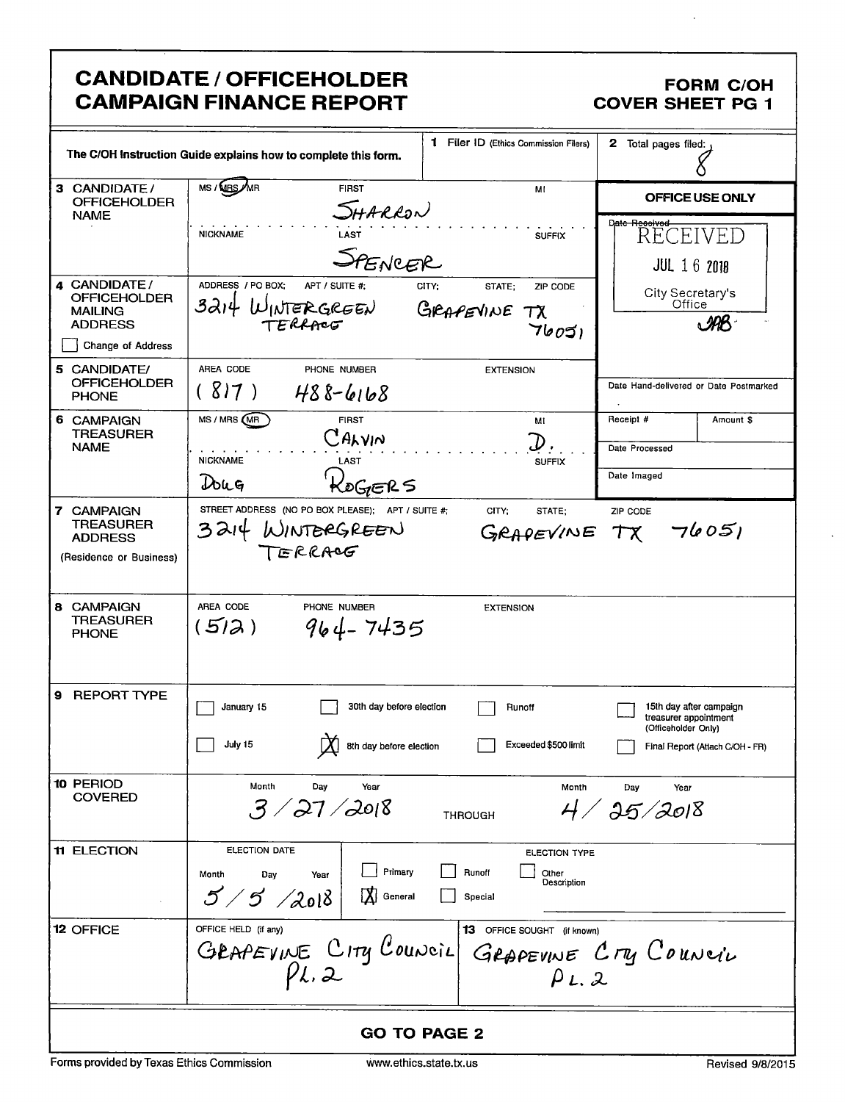|                                                                             | <b>CANDIDATE / OFFICEHOLDER</b><br><b>CAMPAIGN FINANCE REPORT</b>                   |                                                         |                                              | <b>FORM C/OH</b><br><b>COVER SHEET PG 1</b>                             |
|-----------------------------------------------------------------------------|-------------------------------------------------------------------------------------|---------------------------------------------------------|----------------------------------------------|-------------------------------------------------------------------------|
|                                                                             | The C/OH Instruction Guide explains how to complete this form.                      |                                                         | 1 Filer ID (Ethics Commission Filers)        | 2 Total pages filed:                                                    |
| 3 CANDIDATE /<br><b>OFFICEHOLDER</b>                                        | MS / <b>MBS</b> /MR<br><b>FIRST</b>                                                 |                                                         | MI                                           | OFFICE USE ONLY                                                         |
| <b>NAME</b>                                                                 | .<br>LAST<br><b>NICKNAME</b>                                                        | SHARRON                                                 | <b>SUFFIX</b>                                | Date Recoived<br>RECEIVED                                               |
|                                                                             |                                                                                     | LAST<br>SPENCER                                         |                                              | <b>JUL 16 2018</b>                                                      |
| 4 CANDIDATE/<br>OFFICEHOLDER<br>MAILING<br><b>ADDRESS</b>                   | ADDRESS / PO BOX:<br>APT / SUITE #:<br>3214<br>WINTERGREEN<br>TERRACO               | CITY;<br>GRAPEVINE                                      | STATE:<br>ZIP CODE<br>$\tau$ x<br>76051      | City Secretary's<br>Office<br>. MB                                      |
| Change of Address                                                           |                                                                                     |                                                         |                                              |                                                                         |
| 5 CANDIDATE/<br><b>OFFICEHOLDER</b><br><b>PHONE</b>                         | AREA CODE<br>PHONE NUMBER<br>(817)<br>$488-6168$                                    |                                                         | <b>EXTENSION</b>                             | Date Hand-delivered or Date Postmarked                                  |
| 6 CAMPAIGN<br><b>TREASURER</b>                                              | MS / MRS (MR)<br><b>FIRST</b><br>CALVIN                                             |                                                         | MI                                           | Receipt #<br>Amount \$                                                  |
| <b>NAME</b>                                                                 | <b>NICKNAME</b><br>LAST                                                             |                                                         | .D<br><b>SUFFIX</b>                          | Date Processed                                                          |
|                                                                             | Doug                                                                                | KoGERS                                                  |                                              | Date Imaged                                                             |
| 7 CAMPAIGN<br><b>TREASURER</b><br><b>ADDRESS</b><br>(Residence or Business) | STREET ADDRESS (NO PO BOX PLEASE); APT / SUITE #:<br>WINTERGREEN<br>3214<br>TERRACG |                                                         | CITY:<br>STATE;                              | ZIP CODE<br>GRAPEVINE TX 76051                                          |
| <b>8 CAMPAIGN</b><br>TREASURER<br><b>PHONE</b>                              | AREA CODE<br>PHONE NUMBER<br>(5/2)                                                  | $964 - 7435$                                            | <b>EXTENSION</b>                             |                                                                         |
| <b>REPORT TYPE</b><br>9                                                     | January 15                                                                          | 30th day before election                                | Runoff                                       | 15th day after campaign<br>treasurer appointment<br>(Officeholder Only) |
|                                                                             | July 15                                                                             | 8th day before election                                 | Exceeded \$500 limit                         | Final Report (Attach C/OH - FR)                                         |
| 10 PERIOD<br><b>COVERED</b>                                                 | Month<br>Day<br>3 / 27 / 2018                                                       | Year<br><b>THROUGH</b>                                  | Month                                        | Day<br>Year<br>4/25/2018                                                |
| <b>11 ELECTION</b>                                                          | <b>ELECTION DATE</b><br>Month<br>Day<br>Year<br>5/5/2018                            | Primary<br>Runoff<br>$\mathbf{X}$<br>General<br>Special | <b>ELECTION TYPE</b><br>Other<br>Description |                                                                         |
| 12 OFFICE                                                                   | OFFICE HELD (if any)<br>GRAPEVINE CITY COUNCIL                                      |                                                         | 13 OFFICE SOUGHT (if known)<br>PL.2          | GRAPEVINE CTY COUNCIL                                                   |
|                                                                             |                                                                                     | <b>GO TO PAGE 2</b>                                     |                                              |                                                                         |

 $\ddot{\phantom{1}}$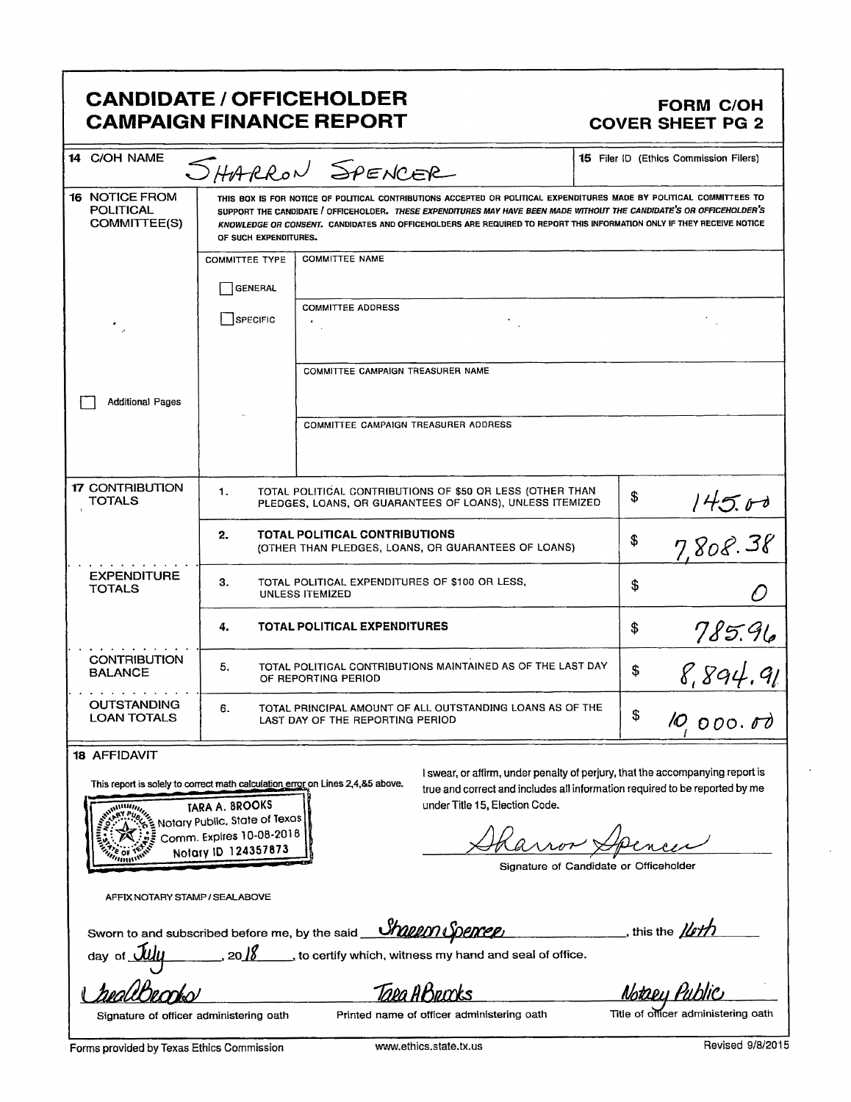# **CANDIDATE / OFFICEHOLDER CAMPAIGN FINANCE REPORT**

### **FORM C/OH COVER SHEET PG 2**

| 14 C/OH NAME                                              |                       | SHARRON SPENCER                                                                                                                                                                                                                                                                                                                                                         | <b>15</b> Filer ID (Ethics Commission Filers) |
|-----------------------------------------------------------|-----------------------|-------------------------------------------------------------------------------------------------------------------------------------------------------------------------------------------------------------------------------------------------------------------------------------------------------------------------------------------------------------------------|-----------------------------------------------|
| <b>16 NOTICE FROM</b><br><b>POLITICAL</b><br>COMMITTEE(S) | OF SUCH EXPENDITURES. | THIS BOX IS FOR NOTICE OF POLITICAL CONTRIBUTIONS ACCEPTED OR POLITICAL EXPENDITURES MADE BY POLITICAL COMMITTEES TO<br>SUPPORT THE CANDIDATE / OFFICEHOLDER. THESE EXPENDITURES MAY HAVE BEEN MADE WITHOUT THE CANDIDATE'S OR OFFICEHOLDER'S<br>KNOWLEDGE OR CONSENT. CANDIDATES AND OFFICEHOLDERS ARE REQUIRED TO REPORT THIS INFORMATION ONLY IF THEY RECEIVE NOTICE |                                               |
|                                                           | <b>COMMITTEE TYPE</b> | <b>COMMITTEE NAME</b>                                                                                                                                                                                                                                                                                                                                                   |                                               |
|                                                           | <b>GENERAL</b>        |                                                                                                                                                                                                                                                                                                                                                                         |                                               |
|                                                           | SPECIFIC              | <b>COMMITTEE ADDRESS</b>                                                                                                                                                                                                                                                                                                                                                |                                               |
|                                                           |                       |                                                                                                                                                                                                                                                                                                                                                                         |                                               |
|                                                           |                       | COMMITTEE CAMPAIGN TREASURER NAME                                                                                                                                                                                                                                                                                                                                       |                                               |
| <b>Additional Pages</b>                                   |                       |                                                                                                                                                                                                                                                                                                                                                                         |                                               |
|                                                           |                       | COMMITTEE CAMPAIGN TREASURER ADDRESS                                                                                                                                                                                                                                                                                                                                    |                                               |
|                                                           |                       |                                                                                                                                                                                                                                                                                                                                                                         |                                               |
| <b>17 CONTRIBUTION</b><br>TOTALS                          | 1.                    | TOTAL POLITICAL CONTRIBUTIONS OF \$50 OR LESS (OTHER THAN<br>PLEDGES, LOANS, OR GUARANTEES OF LOANS), UNLESS ITEMIZED                                                                                                                                                                                                                                                   | \$                                            |
|                                                           | 2.                    | <b>TOTAL POLITICAL CONTRIBUTIONS</b><br>(OTHER THAN PLEDGES, LOANS, OR GUARANTEES OF LOANS)                                                                                                                                                                                                                                                                             | \$<br>$145.00$<br>7,808.38                    |
| <b>EXPENDITURE</b><br><b>TOTALS</b>                       | З.                    | TOTAL POLITICAL EXPENDITURES OF \$100 OR LESS,<br><b>UNLESS ITEMIZED</b>                                                                                                                                                                                                                                                                                                | \$                                            |
|                                                           | 4.                    | TOTAL POLITICAL EXPENDITURES                                                                                                                                                                                                                                                                                                                                            | \$                                            |
| <b>CONTRIBUTION</b><br><b>BALANCE</b>                     | 5.                    | TOTAL POLITICAL CONTRIBUTIONS MAINTAINED AS OF THE LAST DAY<br>OF REPORTING PERIOD                                                                                                                                                                                                                                                                                      | \$<br>785.96<br>8,894.91                      |
| <b>OUTSTANDING</b><br><b>LOAN TOTALS</b>                  | 6.                    | TOTAL PRINCIPAL AMOUNT OF ALL OUTSTANDING LOANS AS OF THE<br>LAST DAY OF THE REPORTING PERIOD                                                                                                                                                                                                                                                                           | \$<br>10,000.00                               |
| 10 ACCIDAVIT                                              |                       |                                                                                                                                                                                                                                                                                                                                                                         |                                               |

#### **18 AFFIDAVIT**

This report is solely to correct math calculation error on Lines 2,4,&5 above.

TARA A. BROOKS Notary Public, State of Texas Comm. Expires 10-08-2018 Notary ID 124357873

I swear, or affirm, under penalty of perjury, that the accompanying report is true and correct and includes all information required to be reported by me under Title 15, Election Code.

Signature of Candidate or Officeholder

AFFIX NOTARY STAMP / SEALABOVE

 $20/8$ 

Sworn to and subscribed before me, by the said **Sharen Spencer** 

 $\Box$ , this the  $\cancel{\mu}$ 

mave

day of  $\bigcup$ 

Taea ABrucks

to certify which, witness my hand and seal of office.

Notaey Pub

Signature of officer administering oath

Title of officer administering oath

Forms provided by Texas Ethics Commission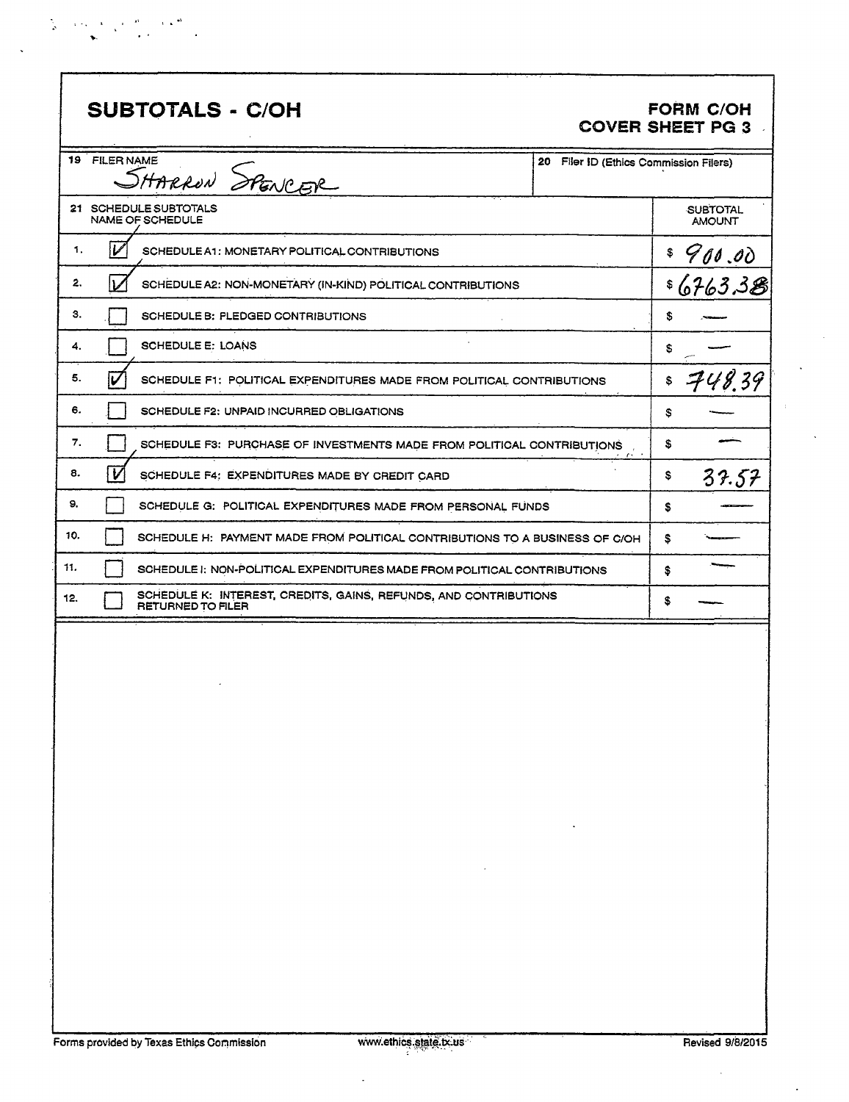| $\frac{\partial \phi}{\partial t} = -\frac{1}{2} \left( \sigma_{A} - \Delta \right) - \frac{1}{2} \left( \sigma_{A} - \frac{2 \hbar}{\lambda} \right) = -\Delta \left( \Delta \right)^{4/3}$ |                                                                                                 |  |  |  |
|----------------------------------------------------------------------------------------------------------------------------------------------------------------------------------------------|-------------------------------------------------------------------------------------------------|--|--|--|
|                                                                                                                                                                                              | $\mathcal{L}(\mathbf{y},t)$ , and $\mathcal{L}(\mathbf{y},t)$ , and $\mathcal{L}(\mathbf{y},t)$ |  |  |  |

 $\ddot{\phantom{0}}$ 

| <b>SUBTOTALS - C/OH</b>                                                                             |                                        | <b>FORM C/OH</b><br><b>COVER SHEET PG 3</b> |
|-----------------------------------------------------------------------------------------------------|----------------------------------------|---------------------------------------------|
| FILER NAME<br>19.<br>RNAME<br>SHARRON SPENCER                                                       | 20 Filer ID (Ethics Commission Filers) |                                             |
| 21 SCHEDULE SUBTOTALS<br>NAME OF SCHEDULE                                                           |                                        | <b>SUBTOTAL</b><br><b>AMOUNT</b>            |
| V<br>1.<br>SCHEDULE A1: MONETARY POLITICAL CONTRIBUTIONS                                            |                                        |                                             |
| 2.<br>SCHEDULE A2: NON-MONETARY (IN-KIND) POLITICAL CONTRIBUTIONS                                   |                                        | <u>= 900.00</u><br>= 6763.3 <del>8</del>    |
| З.<br>SCHEDULE B: PLEDGED CONTRIBUTIONS                                                             |                                        | \$                                          |
| <b>SCHEDULE E: LOANS</b><br>4.                                                                      |                                        | s                                           |
| 5.<br>V<br>SCHEDULE F1: POLITICAL EXPENDITURES MADE FROM POLITICAL CONTRIBUTIONS                    |                                        | 748.39<br>\$                                |
| 6.<br>SCHEDULE F2: UNPAID INCURRED OBLIGATIONS                                                      |                                        | \$                                          |
| 7.<br>SCHEDULE F3: PURCHASE OF INVESTMENTS MADE FROM POLITICAL CONTRIBUTIONS                        |                                        | \$                                          |
| V<br>8.<br>SCHEDULE F4: EXPENDITURES MADE BY CREDIT CARD                                            |                                        | \$<br>37.57                                 |
| 9,<br>SCHEDULE G: POLITICAL EXPENDITURES MADE FROM PERSONAL FUNDS                                   |                                        | S                                           |
| 10.<br>SCHEDULE H: PAYMENT MADE FROM POLITICAL CONTRIBUTIONS TO A BUSINESS OF C/OH                  |                                        | \$                                          |
| 11.<br>SCHEDULE I: NON-POLITICAL EXPENDITURES MADE FROM POLITICAL CONTRIBUTIONS                     |                                        | \$                                          |
| SCHEDULE K: INTEREST, CREDITS, GAINS, REFUNDS, AND CONTRIBUTIONS<br>12.<br><b>RETURNED TO FILER</b> |                                        | \$                                          |
|                                                                                                     |                                        |                                             |

J.

 $\bar{\beta}$ 

 $\ddot{\phantom{0}}$ 

 $\bar{z}$ 

 $\tau$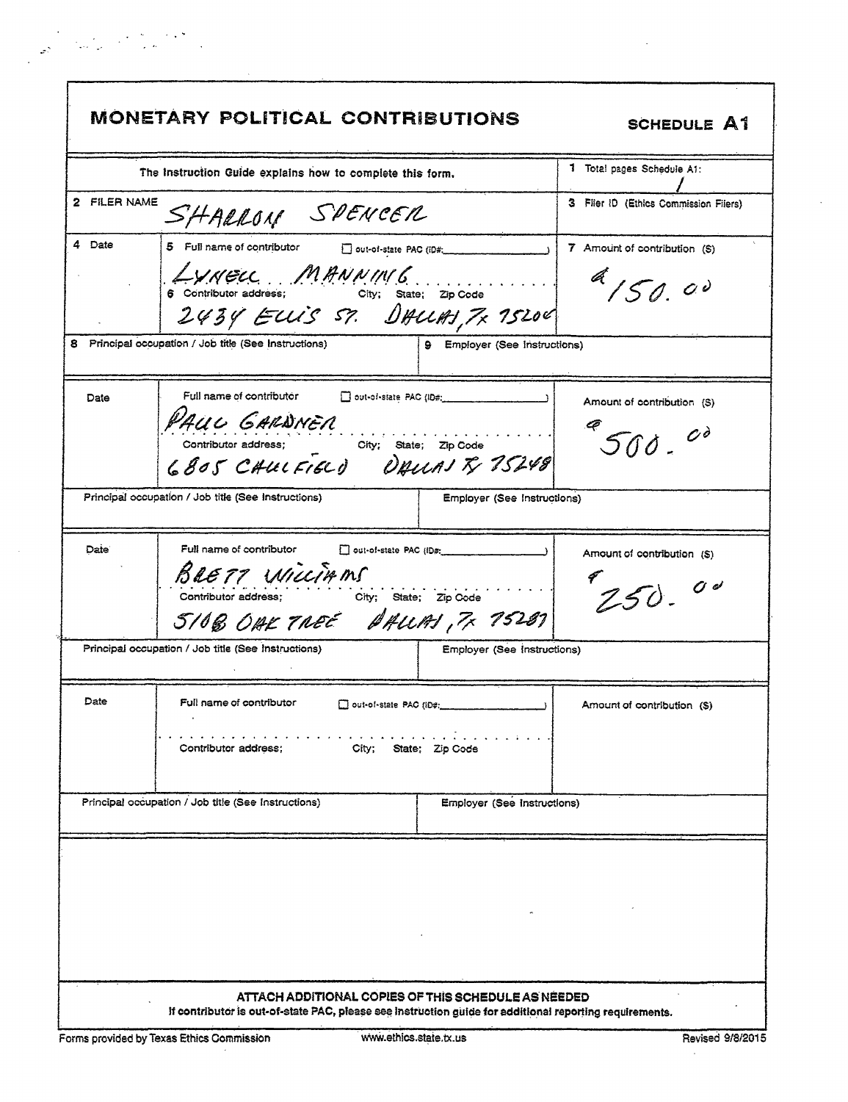|                   | <b>MONETARY POLITICAL CONTRIBUTIONS</b>                                                                                                                                                                        |                                    | <b>SCHEDULE A1</b>                        |
|-------------------|----------------------------------------------------------------------------------------------------------------------------------------------------------------------------------------------------------------|------------------------------------|-------------------------------------------|
|                   | The instruction Guide explains how to complete this form,                                                                                                                                                      |                                    | 1 Total pages Schedule A1:                |
| 2 FILER NAME      | SHARROM SPENCER                                                                                                                                                                                                |                                    | 3 Filer ID (Ethics Commission Filers)     |
| 4 Date            | 5 Full name of contributor<br>Out-of-state PAC (ID#:<br>AVNELL MANNING<br>2434 ELLIS ST. DALLAS, 7x 75200<br>8 Principal occupation / Job title (See Instructions)                                             | 9 Employer (See Instructions)      | 7 Amount of contribution (S)<br>4150.00   |
| Date              | Full name of contributor<br>$\Box$ out-of-state PAC (ID#:<br>PAUL GARDNER<br>Contributor address; City; State; Zip Code<br>6805 CHULFIELD DAULAJ TV 75248                                                      |                                    | Amount of contribution (S)<br>$500 - 00$  |
|                   | Principal occupation / Job title (See Instructions)                                                                                                                                                            | <b>Employer (See Instructions)</b> |                                           |
| Date <sup>®</sup> | Full name of contributor<br>out-of-state PAC (ID#:<br>BRETT WILLIAMS<br>City; State; Zip Code<br>Contributor address;<br>5108 OAK TREE BALLAS, 7x 75287<br>Principal occupation / Job title (See Instructions) | Employer (See Instructions)        | Amount of contribution (\$)<br>$250 - 00$ |
|                   |                                                                                                                                                                                                                |                                    |                                           |
| Date              | Full name of contributor<br>out-of-state PAC (iD#;<br>Contributor address;<br>City;                                                                                                                            | State; Zip Code                    | Amount of contribution (S)                |
|                   | Principal occupation / Job title (See Instructions)                                                                                                                                                            | Employer (See Instructions)        |                                           |
|                   |                                                                                                                                                                                                                |                                    |                                           |

#### ATTACH ADDITIONAL COPIES OF THIS SCHEDULE AS NEEDED If contributor is out-of-state PAC, please see instruction guide for additional reporting requirements.

 $\frac{1}{\omega_{\mathcal{S}}}\left(\frac{1}{\omega_{\mathcal{S}}}\sum_{i=1}^{n}\frac{1}{\omega_{\mathcal{S}}}\sum_{j=1}^{n}\frac{1}{\omega_{\mathcal{S}}}\sum_{i=1}^{n}\frac{1}{\omega_{\mathcal{S}}}\sum_{j=1}^{n}\frac{1}{\omega_{\mathcal{S}}}\sum_{j=1}^{n}\frac{1}{\omega_{\mathcal{S}}}\sum_{j=1}^{n}\frac{1}{\omega_{\mathcal{S}}}\sum_{j=1}^{n}\frac{1}{\omega_{\mathcal{S}}}\sum_{j=1}^{n}\frac{1}{\omega_{\mathcal{S}}}\sum_{j=1$ 

 $\Gamma$ 

l.

 $\bar{a}$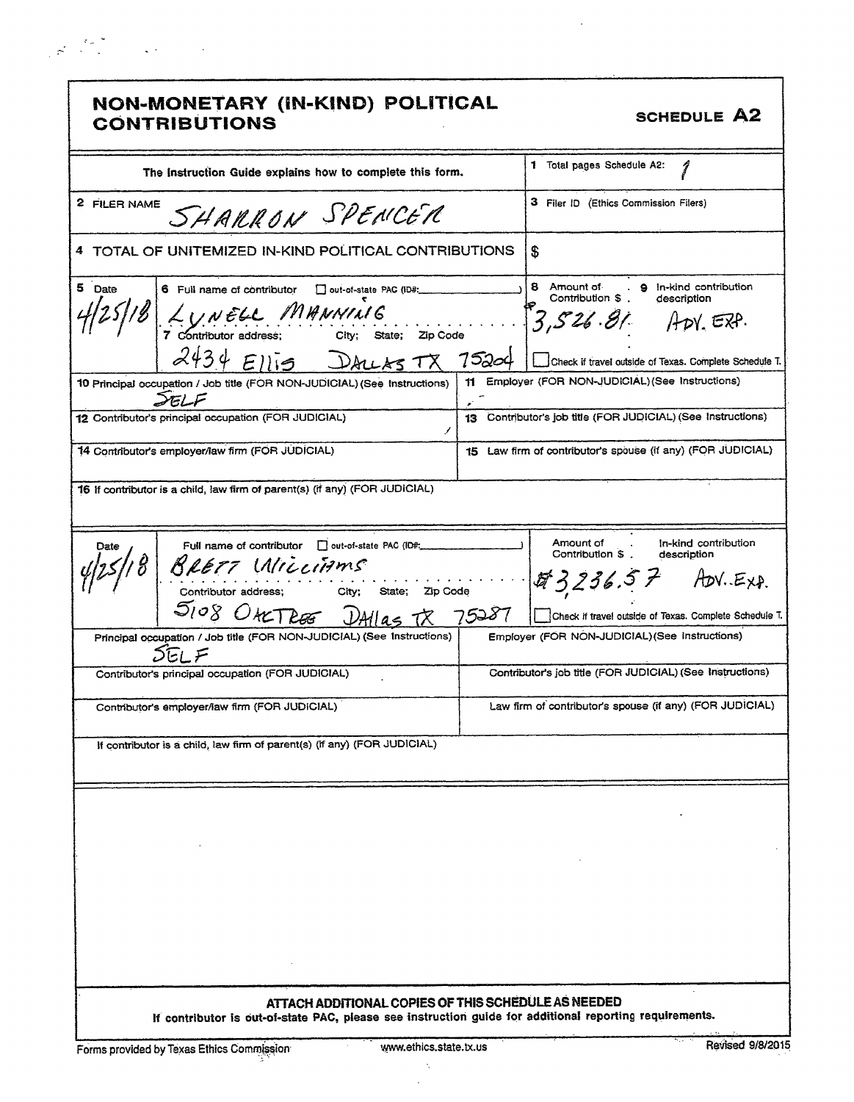| NON-MONETARY (IN-KIND) POLITICAL<br><b>CONTRIBUTIONS</b>                                                                                                       |                        | <b>SCHEDULE A2</b>                                                                                                                                         |
|----------------------------------------------------------------------------------------------------------------------------------------------------------------|------------------------|------------------------------------------------------------------------------------------------------------------------------------------------------------|
| The Instruction Guide explains how to complete this form.                                                                                                      |                        | 1 Total pages Schedule A2:<br>I                                                                                                                            |
| 2 FILER NAME<br>SHARRON SPENCER                                                                                                                                |                        | 3 Filer ID (Ethics Commission Filers)                                                                                                                      |
| 4 TOTAL OF UNITEMIZED IN-KIND POLITICAL CONTRIBUTIONS                                                                                                          |                        | \$                                                                                                                                                         |
| 5 Date<br>6 Full name of contributor<br>out-of-state PAC (ID#:<br>LUNELL MHNNING<br>7 Contributor address; City; State; Zip Code<br>$2434$ Ellis<br>ALLASTX    | 75204                  | 8 Amount of<br>. 9 In-kind contribution<br>Contribution \$<br>description<br>$3,526.81$ ADY EXP.<br>Check if travel outside of Texas. Complete Schedule T. |
| 10 Principal occupation / Job title (FOR NON-JUDICIAL) (See Instructions)                                                                                      |                        | 11 Employer (FOR NON-JUDICIAL) (See Instructions)                                                                                                          |
| 12 Contributor's principal occupation (FOR JUDICIAL)                                                                                                           | Τ                      | 13 Contributor's job title (FOR JUDICIAL) (See Instructions)                                                                                               |
| 14 Contributor's employer/law firm (FOR JUDICIAL)                                                                                                              |                        | 15 Law firm of contributor's spouse (if any) (FOR JUDICIAL)                                                                                                |
| 16 If contributor is a child, law firm of parent(s) (if any) (FOR JUDICIAL)                                                                                    |                        |                                                                                                                                                            |
| Full name of contributor   out-of-state PAC (ID#;<br>Date<br>BRETT MILLIAMS<br>Contributor address; City;<br>5108 OMTRE                                        | State; Zip Code        | Amount of<br>In-kind contribution<br>$\sim$ 100 $\mu$<br>Contribution \$.<br>description<br>tt 3,236.5 F<br>$Adv.E_{XP.}$                                  |
| Principal occupation / Job title (FOR NON-JUDICIAL) (See Instructions)                                                                                         |                        | Check if travel outside of Texas. Complete Schedule T.<br>Employer (FOR NON-JUDICIAL) (See Instructions)                                                   |
| $\mathsf{L}$ $\mathsf{L}$<br>Contributor's principal occupation (FOR JUDICIAL)                                                                                 |                        | Contributor's job title (FOR JUDICIAL) (See Instructions)                                                                                                  |
| Contributor's employer/law firm (FOR JUDICIAL)                                                                                                                 |                        | Law firm of contributor's spouse (if any) (FOR JUDICIAL)                                                                                                   |
| If contributor is a child, law firm of parent(s) (if any) (FOR JUDICIAL)                                                                                       |                        |                                                                                                                                                            |
|                                                                                                                                                                |                        |                                                                                                                                                            |
|                                                                                                                                                                |                        |                                                                                                                                                            |
| ATTACH ADDITIONAL COPIES OF THIS SCHEDULE AS NEEDED<br>If contributor is out-of-state PAC, please see instruction guide for additional reporting requirements. |                        |                                                                                                                                                            |
| Forms provided by Texas Ethics Commission                                                                                                                      | www.ethics.state.tx.us | Revised 9/8/2015                                                                                                                                           |

 $\langle \cdot \rangle_{\rm c}$  $\hat{\boldsymbol{\beta}}$ 

 $\sim$   $\epsilon$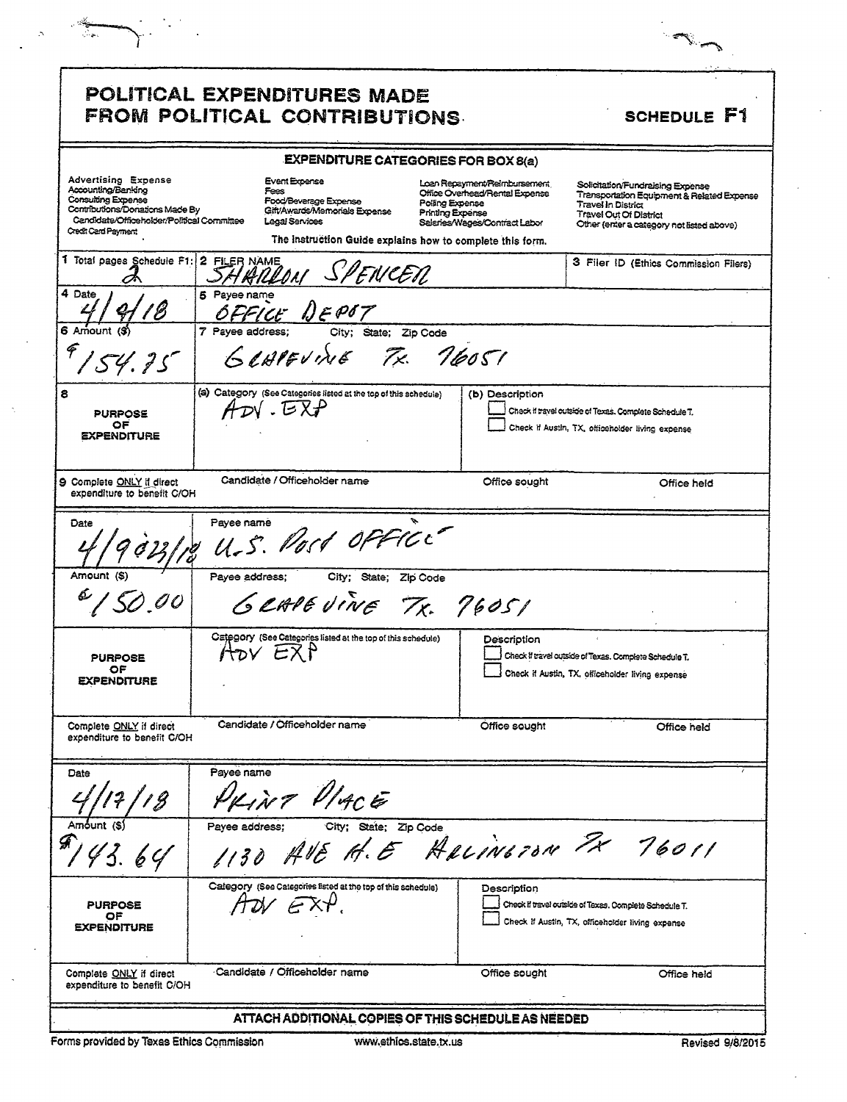|                                                                                                                                                                                | <b>POLITICAL EXPENDITURES MADE</b><br>FROM POLITICAL CONTRIBUTIONS.                                             |                                                                                                                                                                                                            | SCHEDULE F1                                                                                                                                                                        |
|--------------------------------------------------------------------------------------------------------------------------------------------------------------------------------|-----------------------------------------------------------------------------------------------------------------|------------------------------------------------------------------------------------------------------------------------------------------------------------------------------------------------------------|------------------------------------------------------------------------------------------------------------------------------------------------------------------------------------|
|                                                                                                                                                                                |                                                                                                                 | <b>EXPENDITURE CATEGORIES FOR BOX 8(a)</b>                                                                                                                                                                 |                                                                                                                                                                                    |
| <b>Advertising Expense</b><br>Accounting/Banking<br>Consulting Expense<br>Contributions/Donations Made By<br>Candidate/Officeholder/Political Committee<br>Credit Card Payment | <b>Event Expense</b><br>Fees<br><b>Food/Beverage Expense</b><br>Gift/Awards/Memorials Expense<br>Legal Services | Loan Repayment/Reimbursement<br>Office Overhead/Rental Expense<br>Polling Expense<br><b>Printing Expense</b><br>Saleries/Wages/Contract Labor<br>The Instruction Guide explains how to complete this form. | Solicitation/Fundraising Expense<br>Transportation Equipment & Related Expense<br><b>Travel In District</b><br>Travel Out Of District<br>Other (enter a category not listed above) |
| 1 Total pages Schedule F1:                                                                                                                                                     | 2 FILER NAME<br>SHRILLON SPENCER                                                                                |                                                                                                                                                                                                            | 3 Filer ID (Ethics Commission Filers)                                                                                                                                              |
| 4 Date                                                                                                                                                                         | 5 Payee name<br>FFICE DEPOT                                                                                     |                                                                                                                                                                                                            |                                                                                                                                                                                    |
| 6 Amount (\$)<br>54.25                                                                                                                                                         | 7 Payee address:<br>City;<br>GLAPEVINE                                                                          | State;<br>Zip Code<br>76051<br>Tx.                                                                                                                                                                         |                                                                                                                                                                                    |
| <b>PURPOSE</b><br>OF<br><b><i>EXPENDITURE</i></b>                                                                                                                              | (a) Category (See Categories listed at the top of this schedule)<br>$ADV$ . $EXP$                               | (b) Description                                                                                                                                                                                            | Check if travel outside of Texas. Complete Schedule T.<br>Check if Austin, TX, officeholder living expense                                                                         |
| 9 Complete ONLY if direct<br>expenditure to benefit C/OH                                                                                                                       | Candidate / Officeholder name                                                                                   | Office sought                                                                                                                                                                                              | Office held                                                                                                                                                                        |
| Date                                                                                                                                                                           | Payee name<br>U.S. Post office                                                                                  |                                                                                                                                                                                                            |                                                                                                                                                                                    |
| Amount (S)                                                                                                                                                                     | Payee address;                                                                                                  | City; State; Zip Code<br>GRAPEVINE TX. 76051                                                                                                                                                               |                                                                                                                                                                                    |
| <b>PURPOSE</b><br>ОF<br><b>EXPENDITURE</b>                                                                                                                                     | Category (See Categories listed at the top of this schedule)<br>HOV EXP                                         | Description                                                                                                                                                                                                | Check if travel outside of Texas. Complete Schedule T.<br>Check if Austin, TX, officeholder living expense                                                                         |
| Complete ONLY if direct<br>expenditure to benefit C/OH                                                                                                                         | Candidate / Officeholder name                                                                                   | Office sought                                                                                                                                                                                              | Office held                                                                                                                                                                        |
| Date                                                                                                                                                                           | Payee name<br>NT VIACE                                                                                          |                                                                                                                                                                                                            |                                                                                                                                                                                    |
| Amount (S)<br>43.64                                                                                                                                                            | Payee address;<br>City;                                                                                         | State; Zip Code<br>AVE H.E HALINGTON PX 76011                                                                                                                                                              |                                                                                                                                                                                    |
| <b>PURPOSE</b><br>O۴                                                                                                                                                           | Cafegory (See Categories fisted at the top of this schedule)                                                    | Description                                                                                                                                                                                                | Check if travel outside of Texas. Complete Schedule T.<br>Check if Austin, TX, officeholder living expense                                                                         |
| <b><i>EXPENDITURE</i></b>                                                                                                                                                      |                                                                                                                 |                                                                                                                                                                                                            |                                                                                                                                                                                    |

ستگاه<br>معاش

 $\hat{\mathcal{N}}$ 

l,

٠,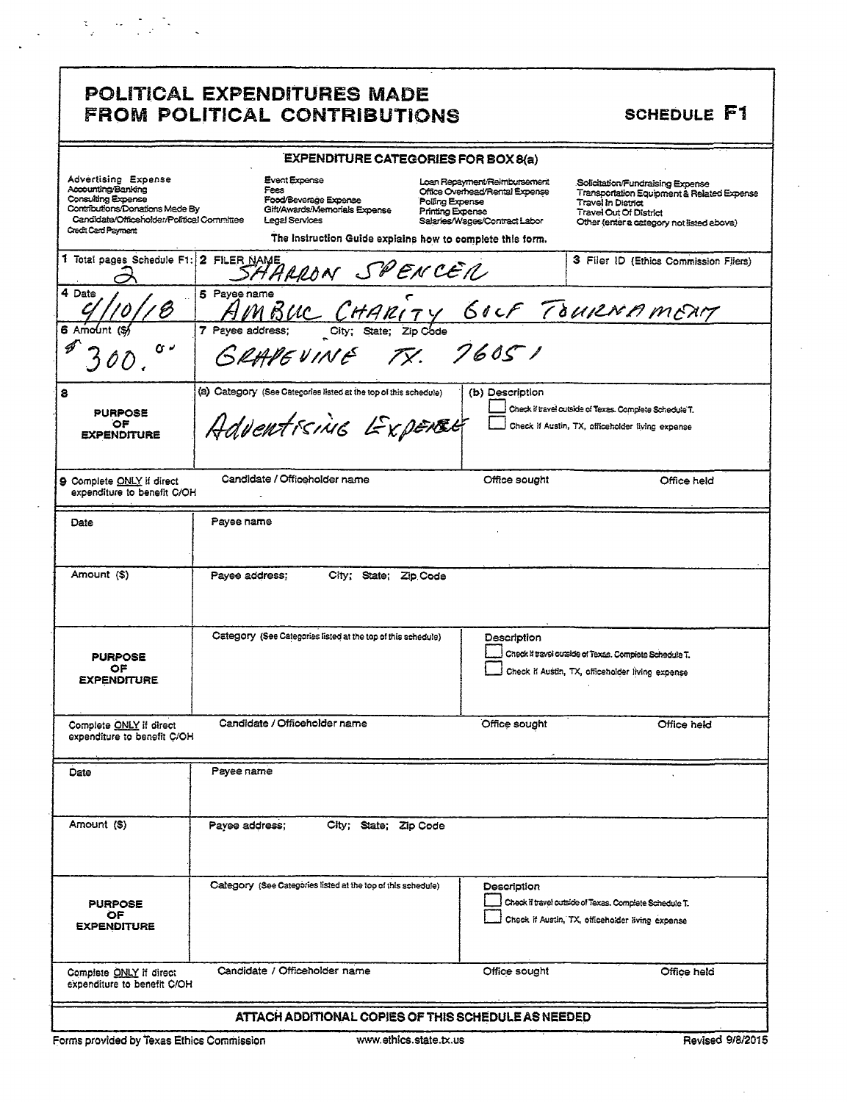# $\label{eq:2} \mathcal{L} = \mathcal{L} \left( \frac{1}{2} \sum_{i=1}^n \frac{1}{2} \sum_{j=1}^n \frac{1}{2} \sum_{j=1}^n \frac{1}{2} \sum_{j=1}^n \frac{1}{2} \sum_{j=1}^n \frac{1}{2} \sum_{j=1}^n \frac{1}{2} \sum_{j=1}^n \frac{1}{2} \sum_{j=1}^n \frac{1}{2} \sum_{j=1}^n \frac{1}{2} \sum_{j=1}^n \frac{1}{2} \sum_{j=1}^n \frac{1}{2} \sum_{j=1}^n \frac{1}{$

|  | <b>POLITICAL EXPENDITURES MADE</b> |                              |
|--|------------------------------------|------------------------------|
|  |                                    | FROM POLITICAL CONTRIBUTIONS |

## SCHEDULE F1

|                                                                                                                                                                       |                                                                                                                                                                       | <b>EXPENDITURE CATEGORIES FOR BOX 8(a)</b>                                                                                                    |                                                                                                                                                                                           |
|-----------------------------------------------------------------------------------------------------------------------------------------------------------------------|-----------------------------------------------------------------------------------------------------------------------------------------------------------------------|-----------------------------------------------------------------------------------------------------------------------------------------------|-------------------------------------------------------------------------------------------------------------------------------------------------------------------------------------------|
| Advertising Expense<br>Accounting/Banking<br>Consulting Expense<br>Commoutions/Donations Made By<br>Candidate/Officeholder/Political Committee<br>Credit Card Payment | Event Expense<br>Fees<br>Food/Beverage Expense<br>Gift/Awards/Memorials Expense<br><b>Legal Services</b><br>The Instruction Guide explains how to complete this form. | Loan Repayment/Reimbursement<br>Office Overhead/Rental Expense<br>Polling Expense<br><b>Printing Expense</b><br>Salaries/Wages/Contract Labor | Solicitation/Fundraising Expense<br>Transportation Equipment & Related Expense<br><b>Travel In District</b><br><b>Travel Out Of District</b><br>Other (enter a category not listed above) |
| 1 Total pages Schedule F1: 2 FILER NAME                                                                                                                               | SHARRON SPENCER                                                                                                                                                       |                                                                                                                                               | 3 Filer ID (Ethics Commission Filers)                                                                                                                                                     |
| 4 Date                                                                                                                                                                | 5 Payee name                                                                                                                                                          |                                                                                                                                               |                                                                                                                                                                                           |
| 6 Amount<br>ن ی                                                                                                                                                       | Payee name<br>AMBUC CHARITY GOLF TOURNAMERT<br>GRAPEVINE TX. 7605 1<br>7 Payee address;                                                                               |                                                                                                                                               |                                                                                                                                                                                           |
| 8<br><b>PURPOSE</b><br>٥F<br><b>EXPENDITURE</b>                                                                                                                       | (a) Category (See Categories listed at the top of this schedule)<br>Adventising Expense                                                                               | (b) Description                                                                                                                               | Check if travel outside of Texas. Complete Schedule T.<br>Check if Austin, TX, officeholder living expense                                                                                |
| 9 Complete ONLY if direct<br>expenditure to benefit C/OH                                                                                                              | Candidate / Officeholder name                                                                                                                                         | Office sought                                                                                                                                 | Office held                                                                                                                                                                               |
| Date                                                                                                                                                                  | Payee name                                                                                                                                                            |                                                                                                                                               |                                                                                                                                                                                           |
| Amount (\$)                                                                                                                                                           | Payee address:<br>City; State; Zip.Code                                                                                                                               |                                                                                                                                               |                                                                                                                                                                                           |
| <b>PURPOSE</b><br>OF<br><b><i>EXPENDITURE</i></b>                                                                                                                     | Category (See Categories listed at the top of this schedule)                                                                                                          | Description                                                                                                                                   | Check if travel outside of Texas. Complete Schedule T.<br>Check if Austin, TX, officeholder living expense                                                                                |
| Complete <b>ONLY</b> if direct<br>expenditure to benefit C/OH                                                                                                         | Candidate / Officeholder name                                                                                                                                         | Office sought                                                                                                                                 | Office held                                                                                                                                                                               |
| Date                                                                                                                                                                  | Payee name                                                                                                                                                            |                                                                                                                                               |                                                                                                                                                                                           |
| Amount (S)                                                                                                                                                            | City; State; Zip Code<br>Payee address;                                                                                                                               |                                                                                                                                               |                                                                                                                                                                                           |
| <b>PURPOSE</b><br>OF.<br><b>EXPENDITURE</b>                                                                                                                           | Calegory (See Categories listed at the top of this schedule)                                                                                                          | Description                                                                                                                                   | Check if travel outside of Texas. Complete Schedule T.<br>Check if Austin, TX, officeholder living expanse                                                                                |
| Complete ONLY if direct<br>expenditure to benefit C/OH                                                                                                                | Candidate / Officeholder name                                                                                                                                         | Office sought                                                                                                                                 | Office held                                                                                                                                                                               |
|                                                                                                                                                                       | ATTACH ADDITIONAL COPIES OF THIS SCHEDULE AS NEEDED                                                                                                                   |                                                                                                                                               |                                                                                                                                                                                           |

Forms provided by Texas Ethics Commission